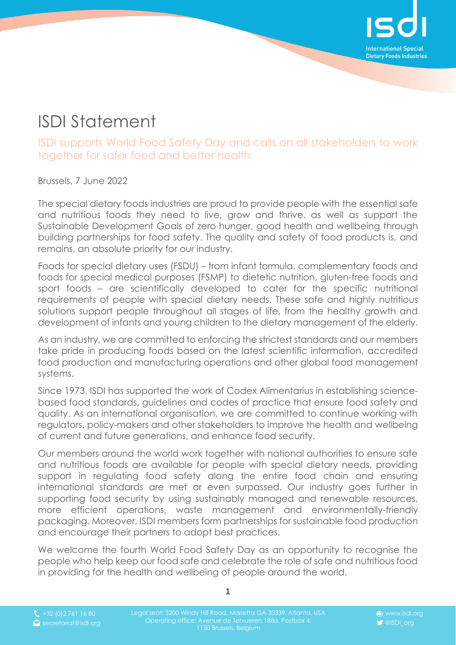

## ISDI Statement

ISDI supports World Food Safety Day and calls on all stakeholders to work together for safer food and better health

Brussels, 7 June 2022

The special dietary foods industries are proud to provide people with the essential safe and nutritious foods they need to live, grow and thrive, as well as support the Sustainable Development Goals of zero hunger, good health and wellbeing through building partnerships for food safety. The quality and safety of food products is, and remains, an absolute priority for our industry.

Foods for special dietary uses (FSDU) – from infant formula, complementary foods and foods for special medical purposes (FSMP) to dietetic nutrition, gluten-free foods and sport foods – are scientifically developed to cater for the specific nutritional requirements of people with special dietary needs. These safe and highly nutritious solutions support people throughout all stages of life, from the healthy growth and development of infants and young children to the dietary management of the elderly.

As an industry, we are committed to enforcing the strictest standards and our members take pride in producing foods based on the latest scientific information, accredited food production and manufacturing operations and other global food management systems.

Since 1973, ISDI has supported the work of Codex Alimentarius in establishing sciencebased food standards, guidelines and codes of practice that ensure food safety and quality. As an international organisation, we are committed to continue working with regulators, policy-makers and other stakeholders to improve the health and wellbeing of current and future generations, and enhance food security.

Our members around the world work together with national authorities to ensure safe and nutritious foods are available for people with special dietary needs, providing support in regulating food safety along the entire food chain and ensuring international standards are met or even surpassed. Our industry goes further in supporting food security by using sustainably managed and renewable resources, more efficient operations, waste management and environmentally-friendly packaging. Moreover, ISDI members form partnerships for sustainable food production and encourage their partners to adopt best practices.

We welcome the fourth World Food Safety Day as an opportunity to recognise the people who help keep our food safe and celebrate the role of safe and nutritious food in providing for the health and wellbeing of people around the world.

1